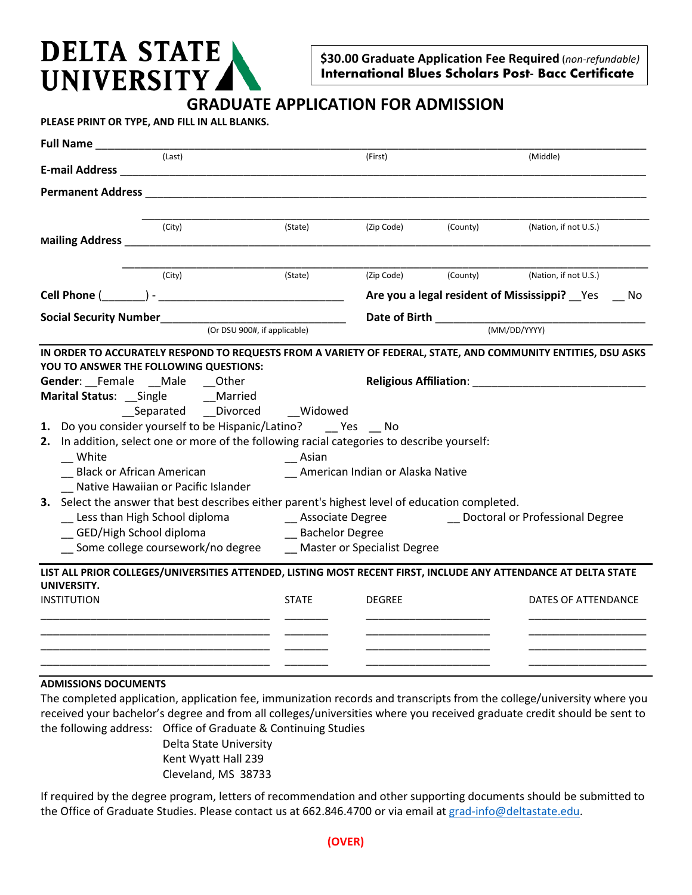## **DELTA STATE UNIVERSITY**

**\$30.00 Graduate Application Fee Required** (*non-refundable)* **International Blues Scholars Post- Bacc Certificate** 

## **GRADUATE APPLICATION FOR ADMISSION**

**PLEASE PRINT OR TYPE, AND FILL IN ALL BLANKS.** 

| <b>Full Name</b>                                                                                                                                                    |                                                                                           |                                                                                                                  |          |                                                 |  |  |
|---------------------------------------------------------------------------------------------------------------------------------------------------------------------|-------------------------------------------------------------------------------------------|------------------------------------------------------------------------------------------------------------------|----------|-------------------------------------------------|--|--|
| (Last)                                                                                                                                                              |                                                                                           | (First)                                                                                                          |          | (Middle)                                        |  |  |
|                                                                                                                                                                     |                                                                                           |                                                                                                                  |          |                                                 |  |  |
| <b>Permanent Address Exercísion Contract Address</b>                                                                                                                |                                                                                           |                                                                                                                  |          |                                                 |  |  |
|                                                                                                                                                                     |                                                                                           |                                                                                                                  |          |                                                 |  |  |
| (City)                                                                                                                                                              | (State)                                                                                   | (Zip Code)                                                                                                       | (County) | (Nation, if not U.S.)                           |  |  |
| Mailing Address Management and Communications                                                                                                                       |                                                                                           |                                                                                                                  |          |                                                 |  |  |
| (City)                                                                                                                                                              | (State)                                                                                   | (Zip Code)                                                                                                       | (County) | (Nation, if not U.S.)                           |  |  |
|                                                                                                                                                                     |                                                                                           |                                                                                                                  |          | Are you a legal resident of Mississippi? Yes Mo |  |  |
|                                                                                                                                                                     |                                                                                           |                                                                                                                  |          |                                                 |  |  |
|                                                                                                                                                                     | (Or DSU 900#, if applicable)                                                              |                                                                                                                  |          | (MM/DD/YYYY)                                    |  |  |
| IN ORDER TO ACCURATELY RESPOND TO REQUESTS FROM A VARIETY OF FEDERAL, STATE, AND COMMUNITY ENTITIES, DSU ASKS                                                       |                                                                                           |                                                                                                                  |          |                                                 |  |  |
| YOU TO ANSWER THE FOLLOWING QUESTIONS:                                                                                                                              |                                                                                           |                                                                                                                  |          |                                                 |  |  |
| Gender: Female __ Male __ Other                                                                                                                                     |                                                                                           | Religious Affiliation: National Property of the Contractor of the Contractor of the Contractor of the Contractor |          |                                                 |  |  |
| Marital Status: __Single _______Married                                                                                                                             |                                                                                           |                                                                                                                  |          |                                                 |  |  |
| __Separated __Divorced                                                                                                                                              | Widowed                                                                                   |                                                                                                                  |          |                                                 |  |  |
| 1. Do you consider yourself to be Hispanic/Latino? _____ Yes ____ No<br>2. In addition, select one or more of the following racial categories to describe yourself: |                                                                                           |                                                                                                                  |          |                                                 |  |  |
| White                                                                                                                                                               |                                                                                           | Asian                                                                                                            |          |                                                 |  |  |
| <b>Black or African American</b>                                                                                                                                    |                                                                                           | _ American Indian or Alaska Native                                                                               |          |                                                 |  |  |
| Native Hawaiian or Pacific Islander                                                                                                                                 |                                                                                           |                                                                                                                  |          |                                                 |  |  |
| 3. Select the answer that best describes either parent's highest level of education completed.                                                                      |                                                                                           |                                                                                                                  |          |                                                 |  |  |
|                                                                                                                                                                     | _ Doctoral or Professional Degree<br>Less than High School diploma Land Lassociate Degree |                                                                                                                  |          |                                                 |  |  |
| GED/High School diploma                                                                                                                                             |                                                                                           | <b>Example 2 Bachelor Degree</b>                                                                                 |          |                                                 |  |  |
| Some college coursework/no degree Master or Specialist Degree                                                                                                       |                                                                                           |                                                                                                                  |          |                                                 |  |  |
| LIST ALL PRIOR COLLEGES/UNIVERSITIES ATTENDED, LISTING MOST RECENT FIRST, INCLUDE ANY ATTENDANCE AT DELTA STATE                                                     |                                                                                           |                                                                                                                  |          |                                                 |  |  |
| UNIVERSITY.                                                                                                                                                         |                                                                                           |                                                                                                                  |          |                                                 |  |  |
| <b>INSTITUTION</b>                                                                                                                                                  | <b>STATE</b>                                                                              | <b>DEGREE</b>                                                                                                    |          | DATES OF ATTENDANCE                             |  |  |
|                                                                                                                                                                     |                                                                                           |                                                                                                                  |          |                                                 |  |  |
|                                                                                                                                                                     |                                                                                           |                                                                                                                  |          |                                                 |  |  |
|                                                                                                                                                                     |                                                                                           |                                                                                                                  |          |                                                 |  |  |
|                                                                                                                                                                     |                                                                                           |                                                                                                                  |          |                                                 |  |  |

## **ADMISSIONS DOCUMENTS**

The completed application, application fee, immunization records and transcripts from the college/university where you received your bachelor's degree and from all colleges/universities where you received graduate credit should be sent to the following address: Office of Graduate & Continuing Studies

> Delta State University Kent Wyatt Hall 239 Cleveland, MS 38733

If required by the degree program, letters of recommendation and other supporting documents should be submitted to the Office of Graduate Studies. Please contact us at 662.846.4700 or via email a[t grad-info@deltastate.edu.](mailto:grad-info@deltastate.edu)